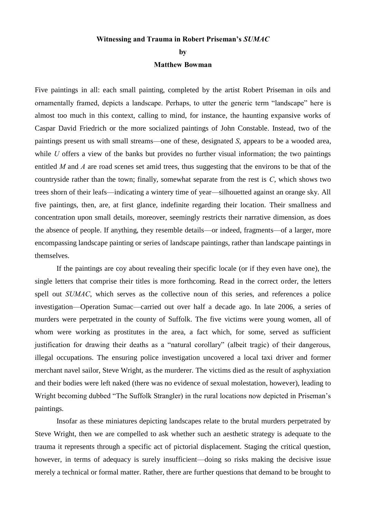## **Witnessing and Trauma in Robert Priseman's** *SUMAC*

## **by**

## **Matthew Bowman**

Five paintings in all: each small painting, completed by the artist Robert Priseman in oils and ornamentally framed, depicts a landscape. Perhaps, to utter the generic term "landscape" here is almost too much in this context, calling to mind, for instance, the haunting expansive works of Caspar David Friedrich or the more socialized paintings of John Constable. Instead, two of the paintings present us with small streams—one of these, designated *S*, appears to be a wooded area, while *U* offers a view of the banks but provides no further visual information; the two paintings entitled *M* and *A* are road scenes set amid trees, thus suggesting that the environs to be that of the countryside rather than the town; finally, somewhat separate from the rest is *C*, which shows two trees shorn of their leafs—indicating a wintery time of year—silhouetted against an orange sky. All five paintings, then, are, at first glance, indefinite regarding their location. Their smallness and concentration upon small details, moreover, seemingly restricts their narrative dimension, as does the absence of people. If anything, they resemble details—or indeed, fragments—of a larger, more encompassing landscape painting or series of landscape paintings, rather than landscape paintings in themselves.

If the paintings are coy about revealing their specific locale (or if they even have one), the single letters that comprise their titles is more forthcoming. Read in the correct order, the letters spell out *SUMAC*, which serves as the collective noun of this series, and references a police investigation—Operation Sumac—carried out over half a decade ago. In late 2006, a series of murders were perpetrated in the county of Suffolk. The five victims were young women, all of whom were working as prostitutes in the area, a fact which, for some, served as sufficient justification for drawing their deaths as a "natural corollary" (albeit tragic) of their dangerous, illegal occupations. The ensuring police investigation uncovered a local taxi driver and former merchant navel sailor, Steve Wright, as the murderer. The victims died as the result of asphyxiation and their bodies were left naked (there was no evidence of sexual molestation, however), leading to Wright becoming dubbed "The Suffolk Strangler) in the rural locations now depicted in Priseman's paintings.

Insofar as these miniatures depicting landscapes relate to the brutal murders perpetrated by Steve Wright, then we are compelled to ask whether such an aesthetic strategy is adequate to the trauma it represents through a specific act of pictorial displacement. Staging the critical question, however, in terms of adequacy is surely insufficient—doing so risks making the decisive issue merely a technical or formal matter. Rather, there are further questions that demand to be brought to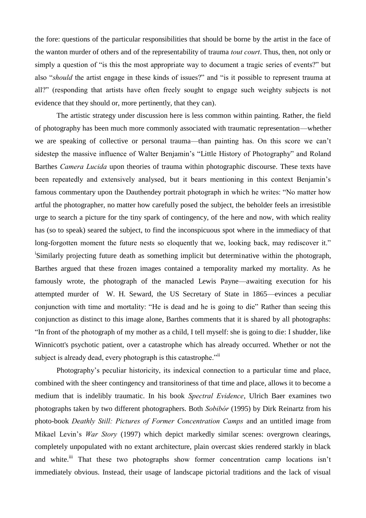the fore: questions of the particular responsibilities that should be borne by the artist in the face of the wanton murder of others and of the representability of trauma *tout court*. Thus, then, not only or simply a question of "is this the most appropriate way to document a tragic series of events?" but also "*should* the artist engage in these kinds of issues?" and "is it possible to represent trauma at all?" (responding that artists have often freely sought to engage such weighty subjects is not evidence that they should or, more pertinently, that they can).

The artistic strategy under discussion here is less common within painting. Rather, the field of photography has been much more commonly associated with traumatic representation—whether we are speaking of collective or personal trauma—than painting has. On this score we can't sidestep the massive influence of Walter Benjamin's "Little History of Photography" and Roland Barthes *Camera Lucida* upon theories of trauma within photographic discourse. These texts have been repeatedly and extensively analysed, but it bears mentioning in this context Benjamin's famous commentary upon the Dauthendey portrait photograph in which he writes: "No matter how artful the photographer, no matter how carefully posed the subject, the beholder feels an irresistible urge to search a picture for the tiny spark of contingency, of the here and now, with which reality has (so to speak) seared the subject, to find the inconspicuous spot where in the immediacy of that long-forgotten moment the future nests so eloquently that we, looking back, may rediscover it." <sup>i</sup>Similarly projecting future death as something implicit but determinative within the photograph, Barthes argued that these frozen images contained a temporality marked my mortality. As he famously wrote, the photograph of the manacled Lewis Payne—awaiting execution for his attempted murder of W. H. Seward, the US Secretary of State in 1865—evinces a peculiar conjunction with time and mortality: "He is dead and he is going to die" Rather than seeing this conjunction as distinct to this image alone, Barthes comments that it is shared by all photographs: "In front of the photograph of my mother as a child, I tell myself: she is going to die: I shudder, like Winnicott's psychotic patient, over a catastrophe which has already occurred. Whether or not the subject is already dead, every photograph is this catastrophe."<sup>ii</sup>

Photography's peculiar historicity, its indexical connection to a particular time and place, combined with the sheer contingency and transitoriness of that time and place, allows it to become a medium that is indelibly traumatic. In his book *Spectral Evidence*, Ulrich Baer examines two photographs taken by two different photographers. Both *Sobibór* (1995) by Dirk Reinartz from his photo-book *Deathly Still: Pictures of Former Concentration Camps* and an untitled image from Mikael Levin's *War Story* (1997) which depict markedly similar scenes: overgrown clearings, completely unpopulated with no extant architecture, plain overcast skies rendered starkly in black and white.<sup>iii</sup> That these two photographs show former concentration camp locations isn't immediately obvious. Instead, their usage of landscape pictorial traditions and the lack of visual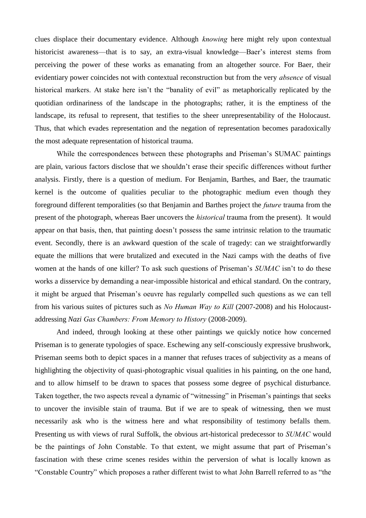clues displace their documentary evidence. Although *knowing* here might rely upon contextual historicist awareness—that is to say, an extra-visual knowledge—Baer's interest stems from perceiving the power of these works as emanating from an altogether source. For Baer, their evidentiary power coincides not with contextual reconstruction but from the very *absence* of visual historical markers. At stake here isn't the "banality of evil" as metaphorically replicated by the quotidian ordinariness of the landscape in the photographs; rather, it is the emptiness of the landscape, its refusal to represent, that testifies to the sheer unrepresentability of the Holocaust. Thus, that which evades representation and the negation of representation becomes paradoxically the most adequate representation of historical trauma.

While the correspondences between these photographs and Priseman's SUMAC paintings are plain, various factors disclose that we shouldn't erase their specific differences without further analysis. Firstly, there is a question of medium. For Benjamin, Barthes, and Baer, the traumatic kernel is the outcome of qualities peculiar to the photographic medium even though they foreground different temporalities (so that Benjamin and Barthes project the *future* trauma from the present of the photograph, whereas Baer uncovers the *historical* trauma from the present). It would appear on that basis, then, that painting doesn't possess the same intrinsic relation to the traumatic event. Secondly, there is an awkward question of the scale of tragedy: can we straightforwardly equate the millions that were brutalized and executed in the Nazi camps with the deaths of five women at the hands of one killer? To ask such questions of Priseman's *SUMAC* isn't to do these works a disservice by demanding a near-impossible historical and ethical standard. On the contrary, it might be argued that Priseman's oeuvre has regularly compelled such questions as we can tell from his various suites of pictures such as *No Human Way to Kill* (2007-2008) and his Holocaustaddressing *Nazi Gas Chambers: From Memory to History* (2008-2009).

And indeed, through looking at these other paintings we quickly notice how concerned Priseman is to generate typologies of space. Eschewing any self-consciously expressive brushwork, Priseman seems both to depict spaces in a manner that refuses traces of subjectivity as a means of highlighting the objectivity of quasi-photographic visual qualities in his painting, on the one hand, and to allow himself to be drawn to spaces that possess some degree of psychical disturbance. Taken together, the two aspects reveal a dynamic of "witnessing" in Priseman's paintings that seeks to uncover the invisible stain of trauma. But if we are to speak of witnessing, then we must necessarily ask who is the witness here and what responsibility of testimony befalls them. Presenting us with views of rural Suffolk, the obvious art-historical predecessor to *SUMAC* would be the paintings of John Constable. To that extent, we might assume that part of Priseman's fascination with these crime scenes resides within the perversion of what is locally known as "Constable Country" which proposes a rather different twist to what John Barrell referred to as "the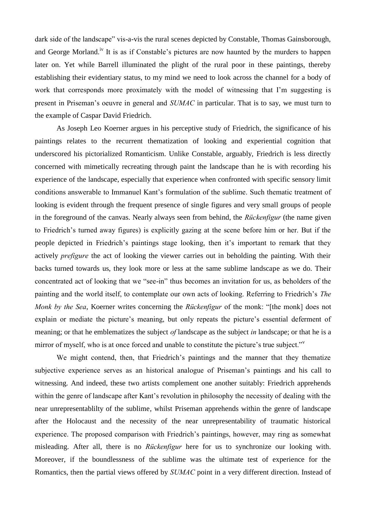dark side of the landscape" vis-a-vis the rural scenes depicted by Constable, Thomas Gainsborough, and George Morland.<sup>iv</sup> It is as if Constable's pictures are now haunted by the murders to happen later on. Yet while Barrell illuminated the plight of the rural poor in these paintings, thereby establishing their evidentiary status, to my mind we need to look across the channel for a body of work that corresponds more proximately with the model of witnessing that I'm suggesting is present in Priseman's oeuvre in general and *SUMAC* in particular. That is to say, we must turn to the example of Caspar David Friedrich.

As Joseph Leo Koerner argues in his perceptive study of Friedrich, the significance of his paintings relates to the recurrent thematization of looking and experiential cognition that underscored his pictorialized Romanticism. Unlike Constable, arguably, Friedrich is less directly concerned with mimetically recreating through paint the landscape than he is with recording his experience of the landscape, especially that experience when confronted with specific sensory limit conditions answerable to Immanuel Kant's formulation of the sublime. Such thematic treatment of looking is evident through the frequent presence of single figures and very small groups of people in the foreground of the canvas. Nearly always seen from behind, the *Rückenfigur* (the name given to Friedrich's turned away figures) is explicitly gazing at the scene before him or her. But if the people depicted in Friedrich's paintings stage looking, then it's important to remark that they actively *prefigure* the act of looking the viewer carries out in beholding the painting. With their backs turned towards us, they look more or less at the same sublime landscape as we do. Their concentrated act of looking that we "see-in" thus becomes an invitation for us, as beholders of the painting and the world itself, to contemplate our own acts of looking. Referring to Friedrich's *The Monk by the Sea*, Koerner writes concerning the *Rückenfigur* of the monk: "[the monk] does not explain or mediate the picture's meaning, but only repeats the picture's essential deferment of meaning; or that he emblematizes the subject *of* landscape as the subject *in* landscape; or that he is a mirror of myself, who is at once forced and unable to constitute the picture's true subject."

We might contend, then, that Friedrich's paintings and the manner that they thematize subjective experience serves as an historical analogue of Priseman's paintings and his call to witnessing. And indeed, these two artists complement one another suitably: Friedrich apprehends within the genre of landscape after Kant's revolution in philosophy the necessity of dealing with the near unrepresentablilty of the sublime, whilst Priseman apprehends within the genre of landscape after the Holocaust and the necessity of the near unrepresentability of traumatic historical experience. The proposed comparison with Friedrich's paintings, however, may ring as somewhat misleading. After all, there is no *Rückenfigur* here for us to synchronize our looking with. Moreover, if the boundlessness of the sublime was the ultimate test of experience for the Romantics, then the partial views offered by *SUMAC* point in a very different direction. Instead of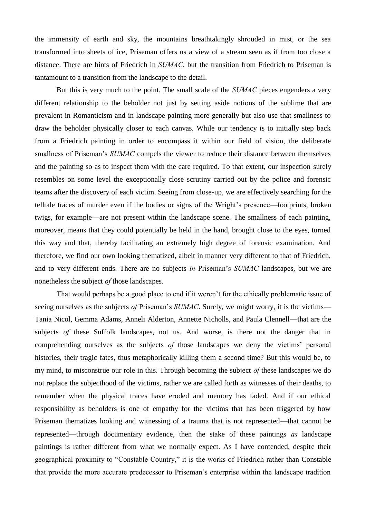the immensity of earth and sky, the mountains breathtakingly shrouded in mist, or the sea transformed into sheets of ice, Priseman offers us a view of a stream seen as if from too close a distance. There are hints of Friedrich in *SUMAC*, but the transition from Friedrich to Priseman is tantamount to a transition from the landscape to the detail.

But this is very much to the point. The small scale of the *SUMAC* pieces engenders a very different relationship to the beholder not just by setting aside notions of the sublime that are prevalent in Romanticism and in landscape painting more generally but also use that smallness to draw the beholder physically closer to each canvas. While our tendency is to initially step back from a Friedrich painting in order to encompass it within our field of vision, the deliberate smallness of Priseman's *SUMAC* compels the viewer to reduce their distance between themselves and the painting so as to inspect them with the care required. To that extent, our inspection surely resembles on some level the exceptionally close scrutiny carried out by the police and forensic teams after the discovery of each victim. Seeing from close-up, we are effectively searching for the telltale traces of murder even if the bodies or signs of the Wright's presence—footprints, broken twigs, for example—are not present within the landscape scene. The smallness of each painting, moreover, means that they could potentially be held in the hand, brought close to the eyes, turned this way and that, thereby facilitating an extremely high degree of forensic examination. And therefore, we find our own looking thematized, albeit in manner very different to that of Friedrich, and to very different ends. There are no subjects *in* Priseman's *SUMAC* landscapes, but we are nonetheless the subject *of* those landscapes.

That would perhaps be a good place to end if it weren't for the ethically problematic issue of seeing ourselves as the subjects *of* Priseman's *SUMAC*. Surely, we might worry, it is the victims— Tania Nicol, Gemma Adams, Anneli Alderton, Annette Nicholls, and Paula Clennell—that are the subjects *of* these Suffolk landscapes, not us. And worse, is there not the danger that in comprehending ourselves as the subjects *of* those landscapes we deny the victims' personal histories, their tragic fates, thus metaphorically killing them a second time? But this would be, to my mind, to misconstrue our role in this. Through becoming the subject *of* these landscapes we do not replace the subjecthood of the victims, rather we are called forth as witnesses of their deaths, to remember when the physical traces have eroded and memory has faded. And if our ethical responsibility as beholders is one of empathy for the victims that has been triggered by how Priseman thematizes looking and witnessing of a trauma that is not represented—that cannot be represented—through documentary evidence, then the stake of these paintings *as* landscape paintings is rather different from what we normally expect. As I have contended, despite their geographical proximity to "Constable Country," it is the works of Friedrich rather than Constable that provide the more accurate predecessor to Priseman's enterprise within the landscape tradition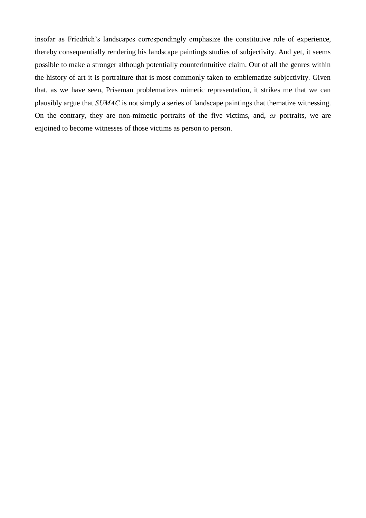insofar as Friedrich's landscapes correspondingly emphasize the constitutive role of experience, thereby consequentially rendering his landscape paintings studies of subjectivity. And yet, it seems possible to make a stronger although potentially counterintuitive claim. Out of all the genres within the history of art it is portraiture that is most commonly taken to emblematize subjectivity. Given that, as we have seen, Priseman problematizes mimetic representation, it strikes me that we can plausibly argue that *SUMAC* is not simply a series of landscape paintings that thematize witnessing. On the contrary, they are non-mimetic portraits of the five victims, and, *as* portraits, we are enjoined to become witnesses of those victims as person to person.